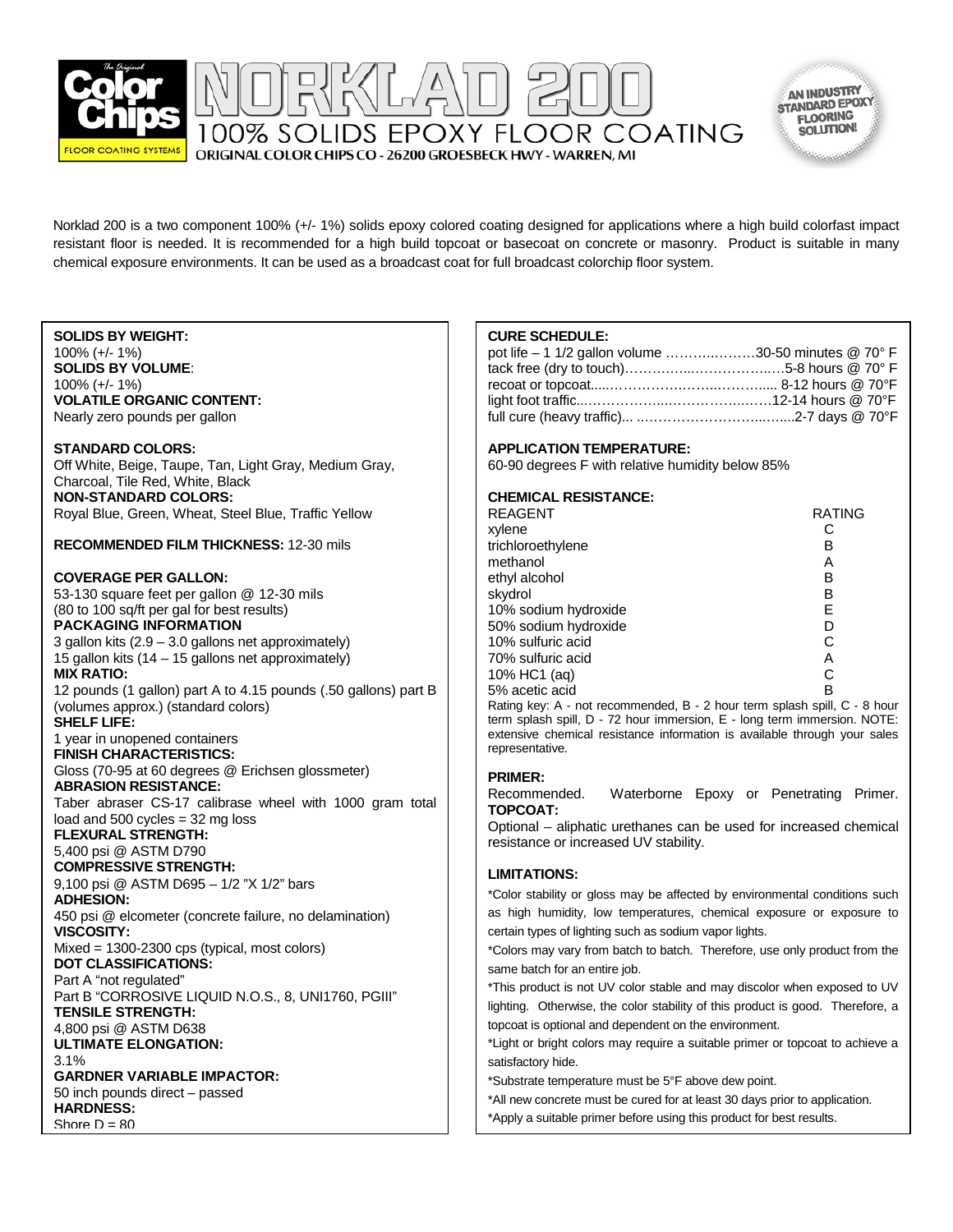

AN INDUSTRY STANDARD EPOXY **FLOORING** SOLUTION!

Norklad 200 is a two component 100% (+/- 1%) solids epoxy colored coating designed for applications where a high build colorfast impact resistant floor is needed. It is recommended for a high build topcoat or basecoat on concrete or masonry. Product is suitable in many chemical exposure environments. It can be used as a broadcast coat for full broadcast colorchip floor system.

100% SOLIDS EPOXY FLOOR COATING

### **SOLIDS BY WEIGHT:**

100% (+/- 1%) **SOLIDS BY VOLUME**: 100% (+/- 1%) **VOLATILE ORGANIC CONTENT:** Nearly zero pounds per gallon

### **STANDARD COLORS:**

Off White, Beige, Taupe, Tan, Light Gray, Medium Gray, Charcoal, Tile Red, White, Black **NON-STANDARD COLORS:** Royal Blue, Green, Wheat, Steel Blue, Traffic Yellow

**RECOMMENDED FILM THICKNESS:** 12-30 mils

# **COVERAGE PER GALLON:**

53-130 square feet per gallon @ 12-30 mils (80 to 100 sq/ft per gal for best results) **PACKAGING INFORMATION**  3 gallon kits (2.9 – 3.0 gallons net approximately) 15 gallon kits (14 – 15 gallons net approximately) **MIX RATIO:** 12 pounds (1 gallon) part A to 4.15 pounds (.50 gallons) part B (volumes approx.) (standard colors) **SHELF LIFE:** 1 year in unopened containers **FINISH CHARACTERISTICS:** Gloss (70-95 at 60 degrees @ Erichsen glossmeter) **ABRASION RESISTANCE:** Taber abraser CS-17 calibrase wheel with 1000 gram total load and 500 cycles = 32 mg loss **FLEXURAL STRENGTH:** 5,400 psi @ ASTM D790 **COMPRESSIVE STRENGTH:** 9,100 psi @ ASTM D695 – 1/2 "X 1/2" bars **ADHESION:** 450 psi @ elcometer (concrete failure, no delamination) **VISCOSITY:** Mixed = 1300-2300 cps (typical, most colors) **DOT CLASSIFICATIONS:** Part A "not regulated" Part B "CORROSIVE LIQUID N.O.S., 8, UNI1760, PGIII" **TENSILE STRENGTH:** 4,800 psi @ ASTM D638 **ULTIMATE ELONGATION:** 3.1% **GARDNER VARIABLE IMPACTOR:** 50 inch pounds direct – passed **HARDNESS:** Shore  $D = 80$ 

# **CURE SCHEDULE:**

| pot life - 1 1/2 gallon volume 30-50 minutes @ 70° F |  |
|------------------------------------------------------|--|
|                                                      |  |
|                                                      |  |
|                                                      |  |
|                                                      |  |

# **APPLICATION TEMPERATURE:**

60-90 degrees F with relative humidity below 85%

# **CHEMICAL RESISTANCE:**

| <b>REAGENT</b>                                                                                                                                                 | <b>RATING</b> |
|----------------------------------------------------------------------------------------------------------------------------------------------------------------|---------------|
| xylene                                                                                                                                                         |               |
| trichloroethylene                                                                                                                                              | в             |
| methanol                                                                                                                                                       | Α             |
| ethyl alcohol                                                                                                                                                  | в             |
| skydrol                                                                                                                                                        | в             |
| 10% sodium hydroxide                                                                                                                                           | E             |
| 50% sodium hydroxide                                                                                                                                           | D             |
| 10% sulfuric acid                                                                                                                                              | C             |
| 70% sulfuric acid                                                                                                                                              | Α             |
| 10% HC1 (ag)                                                                                                                                                   | C             |
| 5% acetic acid                                                                                                                                                 | R             |
| Rating key: A - not recommended, B - 2 hour term splash spill, C - 8 hour                                                                                      |               |
| $f_{\text{cusp}}$ exterts and $\mathsf{D}$ $\mathsf{F}$ are the contracted $\mathsf{F}$ . The contracted contract $\mathsf{M}\mathsf{O}\mathsf{F}\mathsf{F}$ . |               |

term splash spill, D - 72 hour immersion, E - long term immersion. NOTE: extensive chemical resistance information is available through your sales representative.

**PRIMER:** Waterborne Epoxy or Penetrating Primer. **TOPCOAT:**

Optional – aliphatic urethanes can be used for increased chemical resistance or increased UV stability.

# **LIMITATIONS:**

\*Color stability or gloss may be affected by environmental conditions such as high humidity, low temperatures, chemical exposure or exposure to certain types of lighting such as sodium vapor lights.

\*Colors may vary from batch to batch. Therefore, use only product from the same batch for an entire job.

\*This product is not UV color stable and may discolor when exposed to UV lighting. Otherwise, the color stability of this product is good. Therefore, a topcoat is optional and dependent on the environment.

\*Light or bright colors may require a suitable primer or topcoat to achieve a satisfactory hide.

\*Substrate temperature must be 5°F above dew point.

\*All new concrete must be cured for at least 30 days prior to application. \*Apply a suitable primer before using this product for best results.